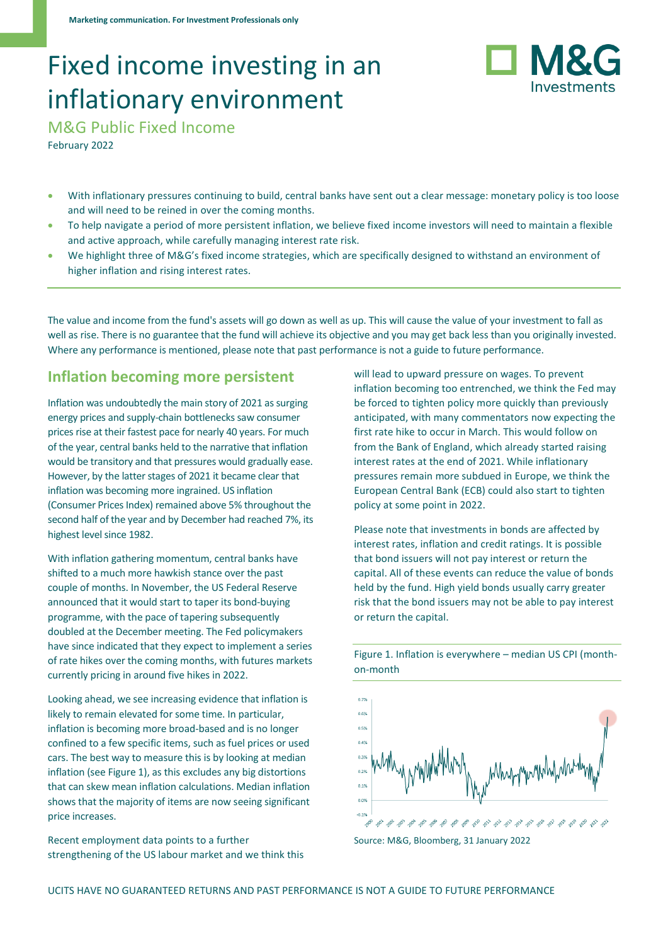# Fixed income investing in an inflationary environment



M&G Public Fixed Income

February 2022

- With inflationary pressures continuing to build, central banks have sent out a clear message: monetary policy is too loose and will need to be reined in over the coming months.
- To help navigate a period of more persistent inflation, we believe fixed income investors will need to maintain a flexible and active approach, while carefully managing interest rate risk.
- We highlight three of M&G's fixed income strategies, which are specifically designed to withstand an environment of higher inflation and rising interest rates.

The value and income from the fund's assets will go down as well as up. This will cause the value of your investment to fall as well as rise. There is no guarantee that the fund will achieve its objective and you may get back less than you originally invested. Where any performance is mentioned, please note that past performance is not a guide to future performance.

#### **Inflation becoming more persistent**

Inflation was undoubtedly the main story of 2021 as surging energy prices and supply-chain bottlenecks saw consumer prices rise at their fastest pace for nearly 40 years. For much of the year, central banks held to the narrative that inflation would be transitory and that pressures would gradually ease. However, by the latter stages of 2021 it became clear that inflation was becoming more ingrained. US inflation (Consumer Prices Index) remained above 5% throughout the second half of the year and by December had reached 7%, its highest level since 1982.

With inflation gathering momentum, central banks have shifted to a much more hawkish stance over the past couple of months. In November, the US Federal Reserve announced that it would start to taper its bond-buying programme, with the pace of tapering subsequently doubled at the December meeting. The Fed policymakers have since indicated that they expect to implement a series of rate hikes over the coming months, with futures markets currently pricing in around five hikes in 2022.

Looking ahead, we see increasing evidence that inflation is likely to remain elevated for some time. In particular, inflation is becoming more broad-based and is no longer confined to a few specific items, such as fuel prices or used cars. The best way to measure this is by looking at median inflation (see Figure 1), as this excludes any big distortions that can skew mean inflation calculations. Median inflation shows that the majority of items are now seeing significant price increases.

Recent employment data points to a further strengthening of the US labour market and we think this will lead to upward pressure on wages. To prevent inflation becoming too entrenched, we think the Fed may be forced to tighten policy more quickly than previously anticipated, with many commentators now expecting the first rate hike to occur in March. This would follow on from the Bank of England, which already started raising interest rates at the end of 2021. While inflationary pressures remain more subdued in Europe, we think the European Central Bank (ECB) could also start to tighten policy at some point in 2022.

Please note that investments in bonds are affected by interest rates, inflation and credit ratings. It is possible that bond issuers will not pay interest or return the capital. All of these events can reduce the value of bonds held by the fund. High yield bonds usually carry greater risk that the bond issuers may not be able to pay interest or return the capital.



Figure 1. Inflation is everywhere – median US CPI (monthon-month

Source: M&G, Bloomberg, 31 January 2022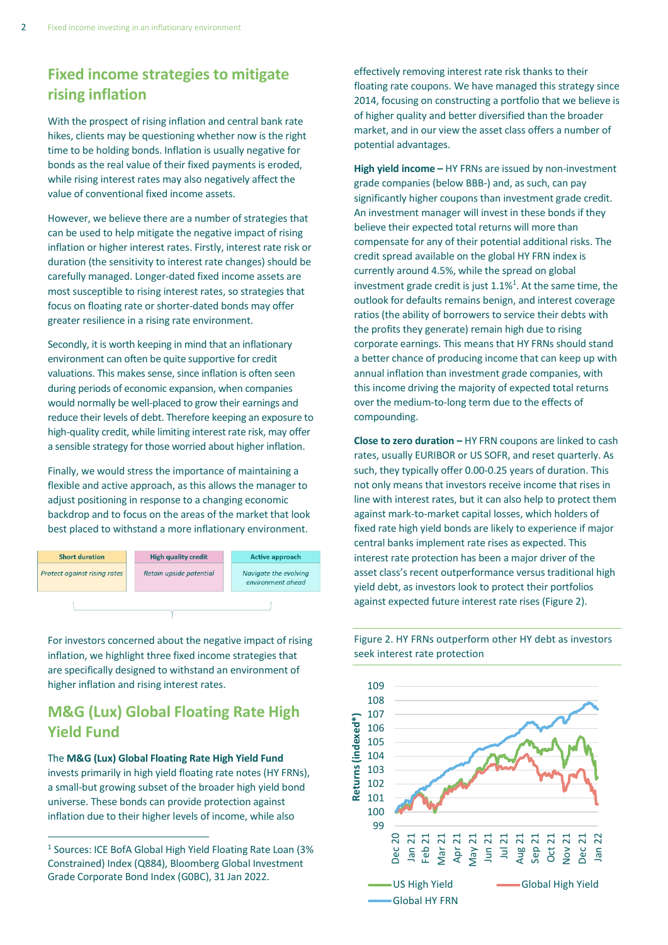### **Fixed income strategies to mitigate rising inflation**

With the prospect of rising inflation and central bank rate hikes, clients may be questioning whether now is the right time to be holding bonds. Inflation is usually negative for bonds as the real value of their fixed payments is eroded, while rising interest rates may also negatively affect the value of conventional fixed income assets.

However, we believe there are a number of strategies that can be used to help mitigate the negative impact of rising inflation or higher interest rates. Firstly, interest rate risk or duration (the sensitivity to interest rate changes) should be carefully managed. Longer-dated fixed income assets are most susceptible to rising interest rates, so strategies that focus on floating rate or shorter-dated bonds may offer greater resilience in a rising rate environment.

Secondly, it is worth keeping in mind that an inflationary environment can often be quite supportive for credit valuations. This makes sense, since inflation is often seen during periods of economic expansion, when companies would normally be well-placed to grow their earnings and reduce their levels of debt. Therefore keeping an exposure to high-quality credit, while limiting interest rate risk, may offer a sensible strategy for those worried about higher inflation.

Finally, we would stress the importance of maintaining a flexible and active approach, as this allows the manager to adjust positioning in response to a changing economic backdrop and to focus on the areas of the market that look best placed to withstand a more inflationary environment.



For investors concerned about the negative impact of rising inflation, we highlight three fixed income strategies that are specifically designed to withstand an environment of higher inflation and rising interest rates.

### **M&G (Lux) Global Floating Rate High Yield Fund**

The **M&G (Lux) Global Floating Rate High Yield Fund** invests primarily in high yield floating rate notes (HY FRNs), a small-but growing subset of the broader high yield bond universe. These bonds can provide protection against inflation due to their higher levels of income, while also

effectively removing interest rate risk thanks to their floating rate coupons. We have managed this strategy since 2014, focusing on constructing a portfolio that we believe is of higher quality and better diversified than the broader market, and in our view the asset class offers a number of potential advantages.

**High yield income –** HY FRNs are issued by non-investment grade companies (below BBB-) and, as such, can pay significantly higher coupons than investment grade credit. An investment manager will invest in these bonds if they believe their expected total returns will more than compensate for any of their potential additional risks. The credit spread available on the global HY FRN index is currently around 4.5%, while the spread on global investment grade credit is just  $1.1\%$ <sup>1</sup>. At the same time, the outlook for defaults remains benign, and interest coverage ratios (the ability of borrowers to service their debts with the profits they generate) remain high due to rising corporate earnings. This means that HY FRNs should stand a better chance of producing income that can keep up with annual inflation than investment grade companies, with this income driving the majority of expected total returns over the medium-to-long term due to the effects of compounding.

**Close to zero duration –** HY FRN coupons are linked to cash rates, usually EURIBOR or US SOFR, and reset quarterly. As such, they typically offer 0.00-0.25 years of duration. This not only means that investors receive income that rises in line with interest rates, but it can also help to protect them against mark-to-market capital losses, which holders of fixed rate high yield bonds are likely to experience if major central banks implement rate rises as expected. This interest rate protection has been a major driver of the asset class's recent outperformance versus traditional high yield debt, as investors look to protect their portfolios against expected future interest rate rises (Figure 2).



Figure 2. HY FRNs outperform other HY debt as investors seek interest rate protection

<sup>&</sup>lt;sup>1</sup> Sources: ICE BofA Global High Yield Floating Rate Loan (3% Constrained) Index (Q884), Bloomberg Global Investment Grade Corporate Bond Index (G0BC), 31 Jan 2022.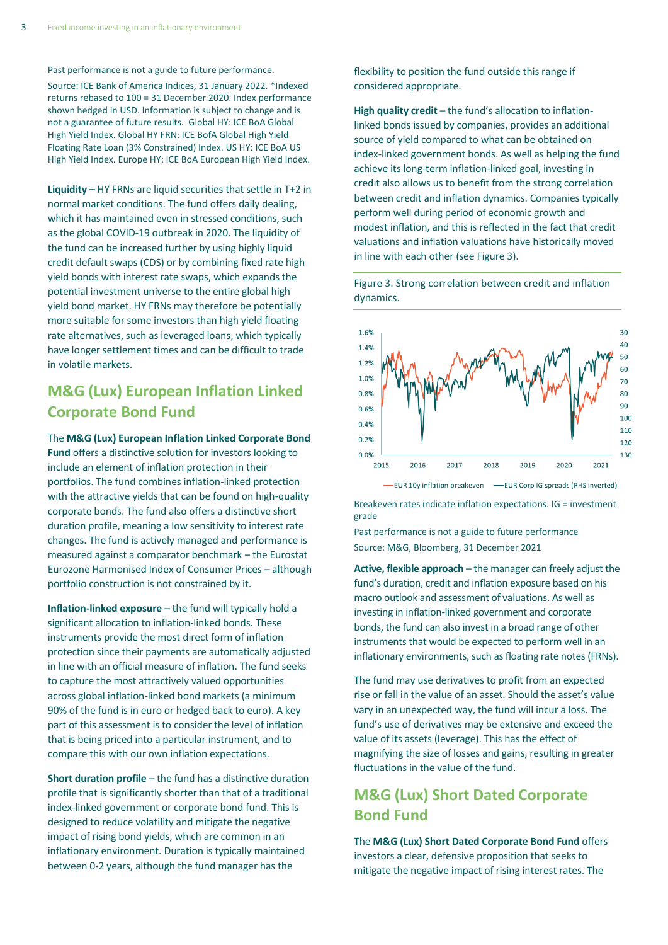Past performance is not a guide to future performance.

Source: ICE Bank of America Indices, 31 January 2022. \*Indexed returns rebased to 100 = 31 December 2020. Index performance shown hedged in USD. Information is subject to change and is not a guarantee of future results. Global HY: ICE BoA Global High Yield Index. Global HY FRN: ICE BofA Global High Yield Floating Rate Loan (3% Constrained) Index. US HY: ICE BoA US High Yield Index. Europe HY: ICE BoA European High Yield Index.

**Liquidity –** HY FRNs are liquid securities that settle in T+2 in normal market conditions. The fund offers daily dealing, which it has maintained even in stressed conditions, such as the global COVID-19 outbreak in 2020. The liquidity of the fund can be increased further by using highly liquid credit default swaps (CDS) or by combining fixed rate high yield bonds with interest rate swaps, which expands the potential investment universe to the entire global high yield bond market. HY FRNs may therefore be potentially more suitable for some investors than high yield floating rate alternatives, such as leveraged loans, which typically have longer settlement times and can be difficult to trade in volatile markets.

#### **M&G (Lux) European Inflation Linked Corporate Bond Fund**

The **M&G (Lux) European Inflation Linked Corporate Bond Fund** offers a distinctive solution for investors looking to include an element of inflation protection in their portfolios. The fund combines inflation-linked protection with the attractive yields that can be found on high-quality corporate bonds. The fund also offers a distinctive short duration profile, meaning a low sensitivity to interest rate changes. The fund is actively managed and performance is measured against a comparator benchmark – the Eurostat Eurozone Harmonised Index of Consumer Prices – although portfolio construction is not constrained by it.

**Inflation-linked exposure** – the fund will typically hold a significant allocation to inflation-linked bonds. These instruments provide the most direct form of inflation protection since their payments are automatically adjusted in line with an official measure of inflation. The fund seeks to capture the most attractively valued opportunities across global inflation-linked bond markets (a minimum 90% of the fund is in euro or hedged back to euro). A key part of this assessment is to consider the level of inflation that is being priced into a particular instrument, and to compare this with our own inflation expectations.

**Short duration profile** – the fund has a distinctive duration profile that is significantly shorter than that of a traditional index-linked government or corporate bond fund. This is designed to reduce volatility and mitigate the negative impact of rising bond yields, which are common in an inflationary environment. Duration is typically maintained between 0-2 years, although the fund manager has the

flexibility to position the fund outside this range if considered appropriate.

**High quality credit** – the fund's allocation to inflationlinked bonds issued by companies, provides an additional source of yield compared to what can be obtained on index-linked government bonds. As well as helping the fund achieve its long-term inflation-linked goal, investing in credit also allows us to benefit from the strong correlation between credit and inflation dynamics. Companies typically perform well during period of economic growth and modest inflation, and this is reflected in the fact that credit valuations and inflation valuations have historically moved in line with each other (see Figure 3).

Figure 3. Strong correlation between credit and inflation dynamics.



Breakeven rates indicate inflation expectations. IG = investment grade

Past performance is not a guide to future performance Source: M&G, Bloomberg, 31 December 2021

**Active, flexible approach** – the manager can freely adjust the fund's duration, credit and inflation exposure based on his macro outlook and assessment of valuations. As well as investing in inflation-linked government and corporate bonds, the fund can also invest in a broad range of other instruments that would be expected to perform well in an inflationary environments, such as floating rate notes (FRNs).

The fund may use derivatives to profit from an expected rise or fall in the value of an asset. Should the asset's value vary in an unexpected way, the fund will incur a loss. The fund's use of derivatives may be extensive and exceed the value of its assets (leverage). This has the effect of magnifying the size of losses and gains, resulting in greater fluctuations in the value of the fund.

## **M&G (Lux) Short Dated Corporate Bond Fund**

The **M&G (Lux) Short Dated Corporate Bond Fund** offers investors a clear, defensive proposition that seeks to mitigate the negative impact of rising interest rates. The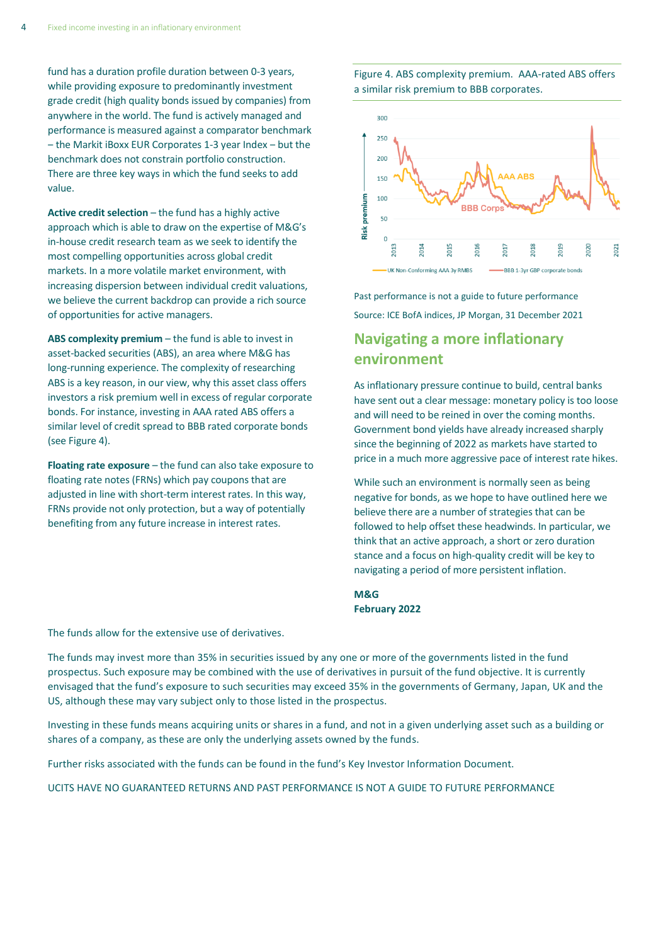fund has a duration profile duration between 0-3 years, while providing exposure to predominantly investment grade credit (high quality bonds issued by companies) from anywhere in the world. The fund is actively managed and performance is measured against a comparator benchmark - the Markit iBoxx EUR Corporates 1-3 year Index - but the benchmark does not constrain portfolio construction. There are three key ways in which the fund seeks to add value.

**Active credit selection** – the fund has a highly active approach which is able to draw on the expertise of M&G's in-house credit research team as we seek to identify the most compelling opportunities across global credit markets. In a more volatile market environment, with increasing dispersion between individual credit valuations, we believe the current backdrop can provide a rich source of opportunities for active managers.

**ABS complexity premium** – the fund is able to invest in asset-backed securities (ABS), an area where M&G has long-running experience. The complexity of researching ABS is a key reason, in our view, why this asset class offers investors a risk premium well in excess of regular corporate bonds. For instance, investing in AAA rated ABS offers a similar level of credit spread to BBB rated corporate bonds (see Figure 4).

**Floating rate exposure** – the fund can also take exposure to floating rate notes (FRNs) which pay coupons that are adjusted in line with short-term interest rates. In this way, FRNs provide not only protection, but a way of potentially benefiting from any future increase in interest rates.

Figure 4. ABS complexity premium. AAA-rated ABS offers a similar risk premium to BBB corporates.



Past performance is not a guide to future performance Source: ICE BofA indices, JP Morgan, 31 December 2021

# **Navigating a more inflationary environment**

As inflationary pressure continue to build, central banks have sent out a clear message: monetary policy is too loose and will need to be reined in over the coming months. Government bond yields have already increased sharply since the beginning of 2022 as markets have started to price in a much more aggressive pace of interest rate hikes.

While such an environment is normally seen as being negative for bonds, as we hope to have outlined here we believe there are a number of strategies that can be followed to help offset these headwinds. In particular, we think that an active approach, a short or zero duration stance and a focus on high-quality credit will be key to navigating a period of more persistent inflation.

**M&G February 2022**

The funds allow for the extensive use of derivatives.

The funds may invest more than 35% in securities issued by any one or more of the governments listed in the fund prospectus. Such exposure may be combined with the use of derivatives in pursuit of the fund objective. It is currently envisaged that the fund's exposure to such securities may exceed 35% in the governments of Germany, Japan, UK and the US, although these may vary subject only to those listed in the prospectus.

Investing in these funds means acquiring units or shares in a fund, and not in a given underlying asset such as a building or shares of a company, as these are only the underlying assets owned by the funds.

Further risks associated with the funds can be found in the fund's Key Investor Information Document.

UCITS HAVE NO GUARANTEED RETURNS AND PAST PERFORMANCE IS NOT A GUIDE TO FUTURE PERFORMANCE